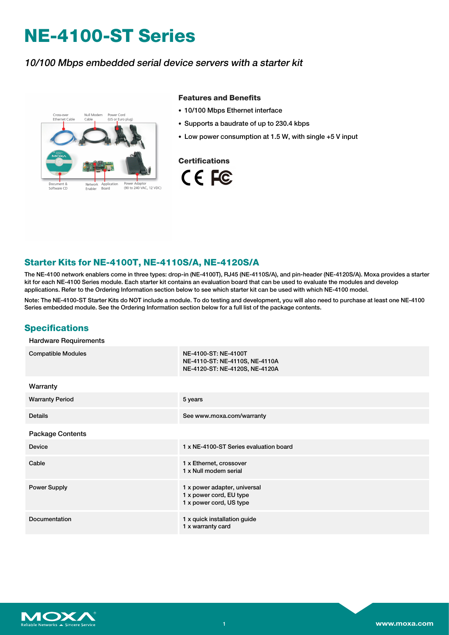# **NE-4100-ST Series**

### 10/100 Mbps embedded serial device servers with <sup>a</sup> starter kit



#### **Features and Benefits**

- 10/100 Mbps Ethernet interface
- Supports a baudrate of up to 230.4 kbps
- Low power consumption at 1.5 W, with single +5 V input



#### **Starter Kits for NE-4100T, NE-4110S/A, NE-4120S/A**

The NE-4100 network enablers come in three types: drop-in (NE-4100T), RJ45 (NE-4110S/A), and pin-header (NE-4120S/A). Moxa provides a starter kit for each NE-4100 Series module. Each starter kit contains an evaluation board that can be used to evaluate the modules and develop applications. Refer to the Ordering Information section below to see which starter kit can be used with which NE-4100 model.

Note: The NE-4100-ST Starter Kits do NOT include a module. To do testing and development, you will also need to purchase at least one NE-4100 Series embedded module. See the Ordering Information section below for a full list of the package contents.

#### **Specifications**

#### Hardware Requirements

| <b>Compatible Modules</b> | NE-4100-ST: NE-4100T<br>NE-4110-ST: NE-4110S, NE-4110A<br>NE-4120-ST: NE-4120S, NE-4120A |
|---------------------------|------------------------------------------------------------------------------------------|
| Warranty                  |                                                                                          |
| <b>Warranty Period</b>    | 5 years                                                                                  |
| <b>Details</b>            | See www.moxa.com/warranty                                                                |
| <b>Package Contents</b>   |                                                                                          |
| Device                    | 1 x NE-4100-ST Series evaluation board                                                   |
| Cable                     | 1 x Ethernet, crossover<br>1 x Null modem serial                                         |
| <b>Power Supply</b>       | 1 x power adapter, universal<br>1 x power cord, EU type<br>1 x power cord, US type       |
| Documentation             | 1 x quick installation guide<br>1 x warranty card                                        |